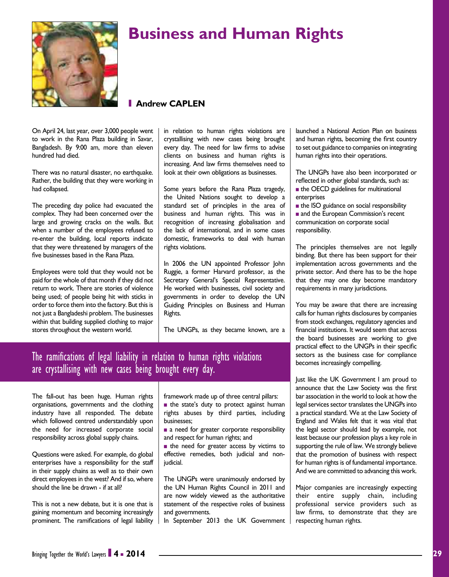

## **Business and Human Rights**

## **I Andrew CAPLEN**

On April 24, last year, over 3,000 people went to work in the Rana Plaza building in Savar, Bangladesh. By 9:00 am, more than eleven hundred had died.

There was no natural disaster, no earthquake. Rather, the building that they were working in had collapsed.

The preceding day police had evacuated the complex. They had been concerned over the large and growing cracks on the walls. But when a number of the employees refused to re-enter the building, local reports indicate that they were threatened by managers of the five businesses based in the Rana Plaza.

Employees were told that they would not be paid for the whole of that month if they did not return to work. There are stories of violence being used; of people being hit with sticks in order to force them into the factory. But this is not just a Bangladeshi problem. The businesses within that building supplied clothing to major stores throughout the western world.

in relation to human rights violations are crystallising with new cases being brought every day. The need for law firms to advise clients on business and human rights is increasing. And law firms themselves need to look at their own obligations as businesses.

Some years before the Rana Plaza tragedy, the United Nations sought to develop a standard set of principles in the area of business and human rights. This was in recognition of increasing globalisation and the lack of international, and in some cases domestic, frameworks to deal with human rights violations.

In 2006 the UN appointed Professor John Ruggie, a former Harvard professor, as the Secretary General's Special Representative. He worked with businesses, civil society and governments in order to develop the UN Guiding Principles on Business and Human Rights.

The UNGPs, as they became known, are a

and human rights, becoming the first country to set out guidance to companies on integrating human rights into their operations.

> The UNGPs have also been incorporated or reflected in other global standards, such as:  $n$  the OECD guidelines for multinational enterprises

> launched a National Action Plan on business

 $\blacksquare$  the ISO guidance on social responsibility n and the European Commission's recent communication on corporate social responsibility.

The principles themselves are not legally binding. But there has been support for their implementation across governments and the private sector. And there has to be the hope that they may one day become mandatory requirements in many jurisdictions.

You may be aware that there are increasing calls for human rights disclosures by companies from stock exchanges, regulatory agencies and financial institutions. It would seem that across the board businesses are working to give practical effect to the UNGPs in their specific sectors as the business case for compliance becomes increasingly compelling.

Just like the UK Government I am proud to announce that the Law Society was the first bar association in the world to look at how the legal services sector translates the UNGPs into a practical standard. We at the Law Society of England and Wales felt that it was vital that the legal sector should lead by example, not least because our profession plays a key role in supporting the rule of law. We strongly believe that the promotion of business with respect for human rights is of fundamental importance. And we are committed to advancing this work.

Major companies are increasingly expecting their entire supply chain, including professional service providers such as law firms, to demonstrate that they are respecting human rights.

## The ramifications of legal liability in relation to human rights violations are crystallising with new cases being brought every day.

The fall-out has been huge. Human rights organisations, governments and the clothing industry have all responded. The debate which followed centred understandably upon the need for increased corporate social responsibility across global supply chains.

Questions were asked. For example, do global enterprises have a responsibility for the staff in their supply chains as well as to their own direct employees in the west? And if so, where should the line be drawn - if at all?

This is not a new debate, but it is one that is gaining momentum and becoming increasingly prominent. The ramifications of legal liability

framework made up of three central pillars: ■ the state's duty to protect against human rights abuses by third parties, including

- businesses; **a** need for greater corporate responsibility and respect for human rights; and
- $n$  the need for greater access by victims to effective remedies, both judicial and nonjudicial.

The UNGPs were unanimously endorsed by the UN Human Rights Council in 2011 and are now widely viewed as the authoritative statement of the respective roles of business and governments.

In September 2013 the UK Government